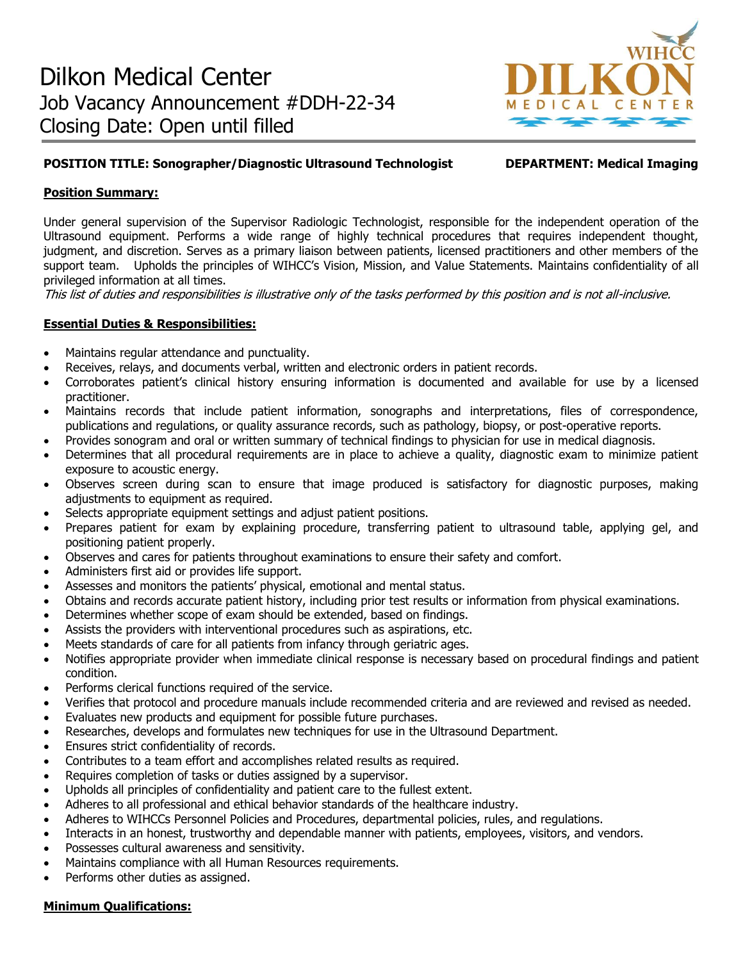

## **POSITION TITLE: Sonographer/Diagnostic Ultrasound Technologist DEPARTMENT: Medical Imaging**

### **Position Summary:**

Under general supervision of the Supervisor Radiologic Technologist, responsible for the independent operation of the Ultrasound equipment. Performs a wide range of highly technical procedures that requires independent thought, judgment, and discretion. Serves as a primary liaison between patients, licensed practitioners and other members of the support team. Upholds the principles of WIHCC's Vision, Mission, and Value Statements. Maintains confidentiality of all privileged information at all times.

This list of duties and responsibilities is illustrative only of the tasks performed by this position and is not all-inclusive.

### **Essential Duties & Responsibilities:**

- Maintains regular attendance and punctuality.
- Receives, relays, and documents verbal, written and electronic orders in patient records.
- Corroborates patient's clinical history ensuring information is documented and available for use by a licensed practitioner.
- Maintains records that include patient information, sonographs and interpretations, files of correspondence, publications and regulations, or quality assurance records, such as pathology, biopsy, or post-operative reports.
- Provides sonogram and oral or written summary of technical findings to physician for use in medical diagnosis.
- Determines that all procedural requirements are in place to achieve a quality, diagnostic exam to minimize patient exposure to acoustic energy.
- Observes screen during scan to ensure that image produced is satisfactory for diagnostic purposes, making adjustments to equipment as required.
- Selects appropriate equipment settings and adjust patient positions.
- Prepares patient for exam by explaining procedure, transferring patient to ultrasound table, applying gel, and positioning patient properly.
- Observes and cares for patients throughout examinations to ensure their safety and comfort.
- Administers first aid or provides life support.
- Assesses and monitors the patients' physical, emotional and mental status.
- Obtains and records accurate patient history, including prior test results or information from physical examinations.
- Determines whether scope of exam should be extended, based on findings.
- Assists the providers with interventional procedures such as aspirations, etc.
- Meets standards of care for all patients from infancy through geriatric ages.
- Notifies appropriate provider when immediate clinical response is necessary based on procedural findings and patient condition.
- Performs clerical functions required of the service.
- Verifies that protocol and procedure manuals include recommended criteria and are reviewed and revised as needed.
- Evaluates new products and equipment for possible future purchases.
- Researches, develops and formulates new techniques for use in the Ultrasound Department.
- Ensures strict confidentiality of records.
- Contributes to a team effort and accomplishes related results as required.
- Requires completion of tasks or duties assigned by a supervisor.
- Upholds all principles of confidentiality and patient care to the fullest extent.
- Adheres to all professional and ethical behavior standards of the healthcare industry.
- Adheres to WIHCCs Personnel Policies and Procedures, departmental policies, rules, and regulations.
- Interacts in an honest, trustworthy and dependable manner with patients, employees, visitors, and vendors.
- Possesses cultural awareness and sensitivity.
- Maintains compliance with all Human Resources requirements.
- Performs other duties as assigned.

# **Minimum Qualifications:**